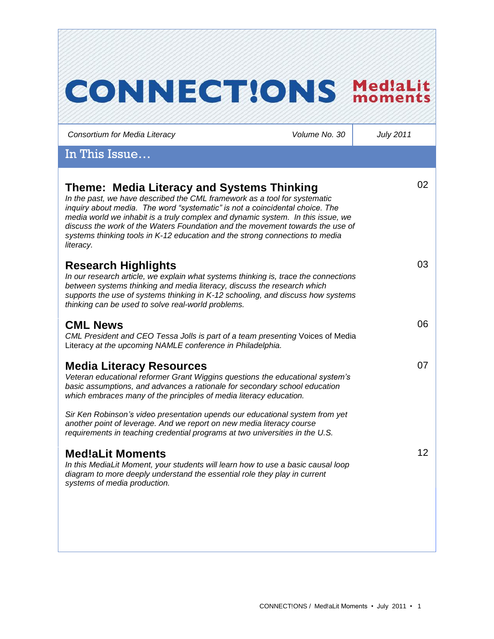| <b>CONNECTIONS</b>                                                                                                                                                                                                                                                                                                                                                                                                                                                       |               | <b>Med!aLit</b><br>momen |
|--------------------------------------------------------------------------------------------------------------------------------------------------------------------------------------------------------------------------------------------------------------------------------------------------------------------------------------------------------------------------------------------------------------------------------------------------------------------------|---------------|--------------------------|
| Consortium for Media Literacy                                                                                                                                                                                                                                                                                                                                                                                                                                            | Volume No. 30 | <b>July 2011</b>         |
| In This Issue                                                                                                                                                                                                                                                                                                                                                                                                                                                            |               |                          |
| Theme: Media Literacy and Systems Thinking<br>In the past, we have described the CML framework as a tool for systematic<br>inquiry about media. The word "systematic" is not a coincidental choice. The<br>media world we inhabit is a truly complex and dynamic system. In this issue, we<br>discuss the work of the Waters Foundation and the movement towards the use of<br>systems thinking tools in K-12 education and the strong connections to media<br>literacy. |               | 02                       |
| <b>Research Highlights</b><br>In our research article, we explain what systems thinking is, trace the connections<br>between systems thinking and media literacy, discuss the research which<br>supports the use of systems thinking in K-12 schooling, and discuss how systems<br>thinking can be used to solve real-world problems.                                                                                                                                    |               | 03                       |
| <b>CML News</b><br>CML President and CEO Tessa Jolls is part of a team presenting Voices of Media<br>Literacy at the upcoming NAMLE conference in Philadelphia.                                                                                                                                                                                                                                                                                                          |               | 06                       |
| <b>Media Literacy Resources</b><br>Veteran educational reformer Grant Wiggins questions the educational system's<br>basic assumptions, and advances a rationale for secondary school education<br>which embraces many of the principles of media literacy education.<br>Sir Ken Robinson's video presentation upends our educational system from yet                                                                                                                     |               | 07                       |
| another point of leverage. And we report on new media literacy course<br>requirements in teaching credential programs at two universities in the U.S.                                                                                                                                                                                                                                                                                                                    |               |                          |
| <b>Med!aLit Moments</b><br>In this MediaLit Moment, your students will learn how to use a basic causal loop<br>diagram to more deeply understand the essential role they play in current<br>systems of media production.                                                                                                                                                                                                                                                 |               | 12 <sup>2</sup>          |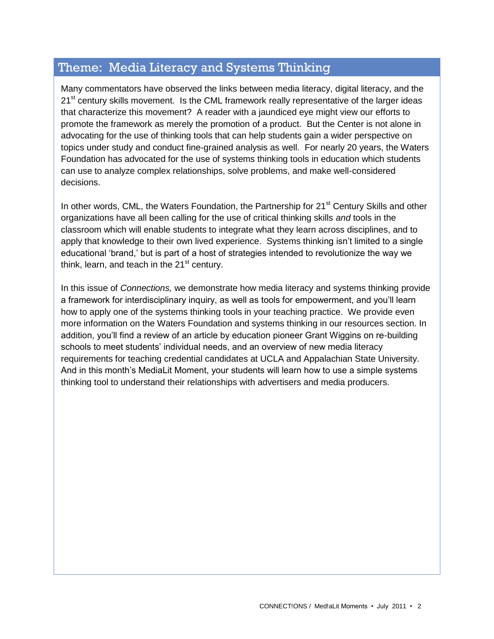## Theme: Media Literacy and Systems Thinking

Many commentators have observed the links between media literacy, digital literacy, and the 21<sup>st</sup> century skills movement. Is the CML framework really representative of the larger ideas that characterize this movement? A reader with a jaundiced eye might view our efforts to promote the framework as merely the promotion of a product. But the Center is not alone in advocating for the use of thinking tools that can help students gain a wider perspective on topics under study and conduct fine-grained analysis as well. For nearly 20 years, the Waters Foundation has advocated for the use of systems thinking tools in education which students can use to analyze complex relationships, solve problems, and make well-considered decisions.

In other words, CML, the Waters Foundation, the Partnership for 21<sup>st</sup> Century Skills and other organizations have all been calling for the use of critical thinking skills *and* tools in the classroom which will enable students to integrate what they learn across disciplines, and to apply that knowledge to their own lived experience. Systems thinking isn't limited to a single educational "brand," but is part of a host of strategies intended to revolutionize the way we think, learn, and teach in the  $21<sup>st</sup>$  century.

In this issue of *Connections,* we demonstrate how media literacy and systems thinking provide a framework for interdisciplinary inquiry, as well as tools for empowerment, and you"ll learn how to apply one of the systems thinking tools in your teaching practice. We provide even more information on the Waters Foundation and systems thinking in our resources section. In addition, you"ll find a review of an article by education pioneer Grant Wiggins on re-building schools to meet students' individual needs, and an overview of new media literacy requirements for teaching credential candidates at UCLA and Appalachian State University. And in this month"s MediaLit Moment, your students will learn how to use a simple systems thinking tool to understand their relationships with advertisers and media producers.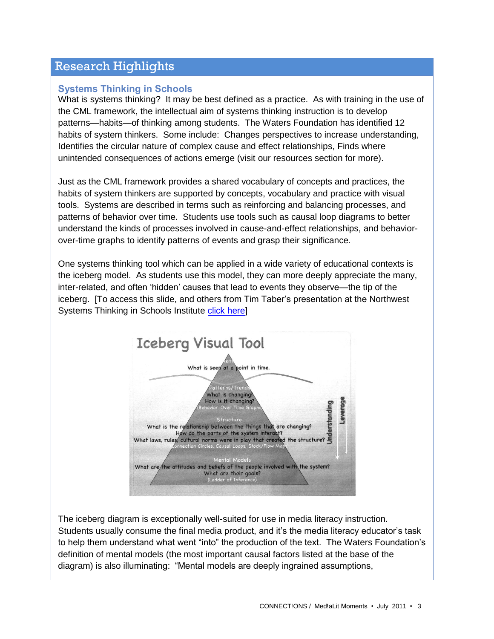### Research Highlights

### **Systems Thinking in Schools**

What is systems thinking? It may be best defined as a practice. As with training in the use of the CML framework, the intellectual aim of systems thinking instruction is to develop patterns—habits—of thinking among students. The Waters Foundation has identified 12 habits of system thinkers. Some include: Changes perspectives to increase understanding, Identifies the circular nature of complex cause and effect relationships, Finds where unintended consequences of actions emerge (visit our resources section for more).

Just as the CML framework provides a shared vocabulary of concepts and practices, the habits of system thinkers are supported by concepts, vocabulary and practice with visual tools. Systems are described in terms such as reinforcing and balancing processes, and patterns of behavior over time. Students use tools such as causal loop diagrams to better understand the kinds of processes involved in cause-and-effect relationships, and behaviorover-time graphs to identify patterns of events and grasp their significance.

One systems thinking tool which can be applied in a wide variety of educational contexts is the iceberg model. As students use this model, they can more deeply appreciate the many, inter-related, and often "hidden" causes that lead to events they observe—the tip of the iceberg. [To access this slide, and others from Tim Taber"s presentation at the Northwest Systems Thinking in Schools Institute [click here\]](http://www.watersfoundation.org/index.cfm?fuseaction=content.display&id=305)



The iceberg diagram is exceptionally well-suited for use in media literacy instruction. Students usually consume the final media product, and it"s the media literacy educator"s task to help them understand what went "into" the production of the text. The Waters Foundation"s definition of mental models (the most important causal factors listed at the base of the diagram) is also illuminating: "Mental models are deeply ingrained assumptions,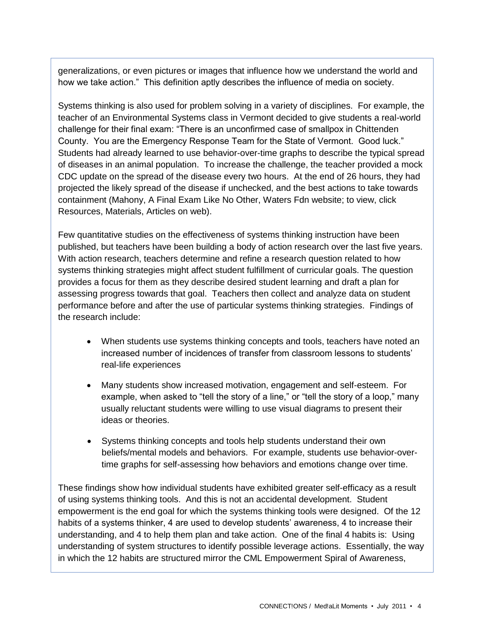generalizations, or even pictures or images that influence how we understand the world and how we take action." This definition aptly describes the influence of media on society.

Systems thinking is also used for problem solving in a variety of disciplines. For example, the teacher of an Environmental Systems class in Vermont decided to give students a real-world challenge for their final exam: "There is an unconfirmed case of smallpox in Chittenden County. You are the Emergency Response Team for the State of Vermont. Good luck." Students had already learned to use behavior-over-time graphs to describe the typical spread of diseases in an animal population. To increase the challenge, the teacher provided a mock CDC update on the spread of the disease every two hours. At the end of 26 hours, they had projected the likely spread of the disease if unchecked, and the best actions to take towards containment (Mahony, A Final Exam Like No Other, Waters Fdn website; to view, click Resources, Materials, Articles on web).

Few quantitative studies on the effectiveness of systems thinking instruction have been published, but teachers have been building a body of action research over the last five years. With action research, teachers determine and refine a research question related to how systems thinking strategies might affect student fulfillment of curricular goals. The question provides a focus for them as they describe desired student learning and draft a plan for assessing progress towards that goal. Teachers then collect and analyze data on student performance before and after the use of particular systems thinking strategies. Findings of the research include:

- When students use systems thinking concepts and tools, teachers have noted an increased number of incidences of transfer from classroom lessons to students" real-life experiences
- Many students show increased motivation, engagement and self-esteem. For example, when asked to "tell the story of a line," or "tell the story of a loop," many usually reluctant students were willing to use visual diagrams to present their ideas or theories.
- Systems thinking concepts and tools help students understand their own beliefs/mental models and behaviors. For example, students use behavior-overtime graphs for self-assessing how behaviors and emotions change over time.

These findings show how individual students have exhibited greater self-efficacy as a result of using systems thinking tools. And this is not an accidental development. Student empowerment is the end goal for which the systems thinking tools were designed. Of the 12 habits of a systems thinker, 4 are used to develop students' awareness, 4 to increase their understanding, and 4 to help them plan and take action. One of the final 4 habits is: Using understanding of system structures to identify possible leverage actions. Essentially, the way in which the 12 habits are structured mirror the CML Empowerment Spiral of Awareness,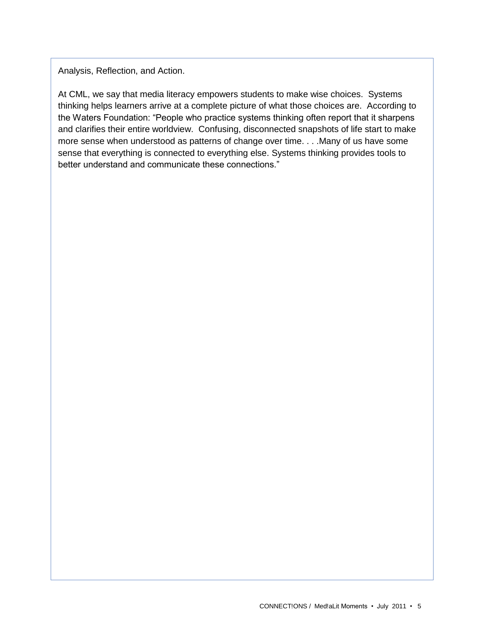Analysis, Reflection, and Action.

At CML, we say that media literacy empowers students to make wise choices. Systems thinking helps learners arrive at a complete picture of what those choices are. According to the Waters Foundation: "People who practice systems thinking often report that it sharpens and clarifies their entire worldview. Confusing, disconnected snapshots of life start to make more sense when understood as patterns of change over time. . . .Many of us have some sense that everything is connected to everything else. Systems thinking provides tools to better understand and communicate these connections."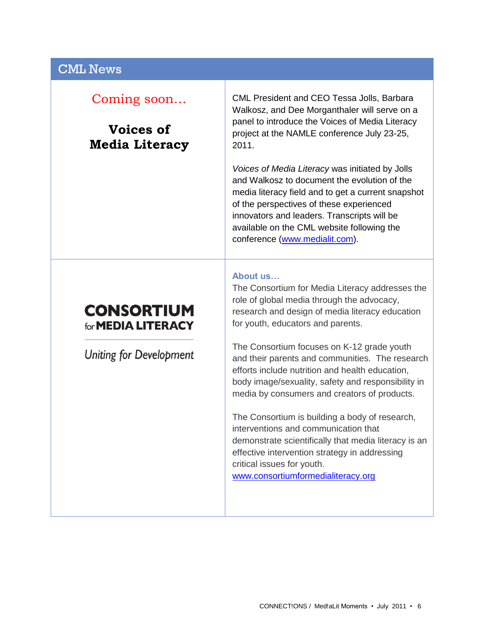### CML News

## Coming soon…

# **Voices of Media Literacy**

CML President and CEO Tessa Jolls, Barbara Walkosz, and Dee Morganthaler will serve on a panel to introduce the Voices of Media Literacy project at the NAMLE conference July 23-25, 2011.

*Voices of Media Literacy* was initiated by Jolls and Walkosz to document the evolution of the media literacy field and to get a current snapshot of the perspectives of these experienced innovators and leaders. Transcripts will be available on the CML website following the conference [\(www.medialit.com\)](http://www.medialit.com/).

#### **About us…**

# **CONSORTIUM** for **MEDIA LITERACY**

**Uniting for Development** 

The Consortium for Media Literacy addresses the role of global media through the advocacy, research and design of media literacy education for youth, educators and parents.

The Consortium focuses on K-12 grade youth and their parents and communities. The research efforts include nutrition and health education, body image/sexuality, safety and responsibility in media by consumers and creators of products.

The Consortium is building a body of research, interventions and communication that demonstrate scientifically that media literacy is an effective intervention strategy in addressing critical issues for youth. [www.consortiumformedialiteracy.org](http://www.consortiumformedialiteracy.org/)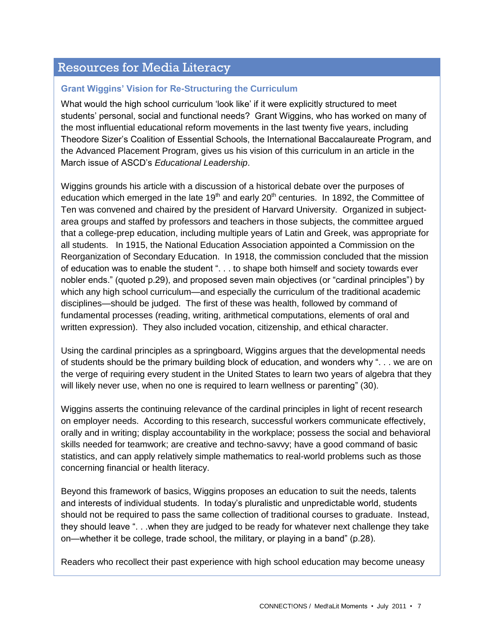## Resources for Media Literacy

### **Grant Wiggins' Vision for Re-Structuring the Curriculum**

What would the high school curriculum "look like" if it were explicitly structured to meet students' personal, social and functional needs? Grant Wiggins, who has worked on many of the most influential educational reform movements in the last twenty five years, including Theodore Sizer"s Coalition of Essential Schools, the International Baccalaureate Program, and the Advanced Placement Program, gives us his vision of this curriculum in an article in the March issue of ASCD"s *Educational Leadership*.

Wiggins grounds his article with a discussion of a historical debate over the purposes of education which emerged in the late  $19<sup>th</sup>$  and early 20<sup>th</sup> centuries. In 1892, the Committee of Ten was convened and chaired by the president of Harvard University. Organized in subjectarea groups and staffed by professors and teachers in those subjects, the committee argued that a college-prep education, including multiple years of Latin and Greek, was appropriate for all students. In 1915, the National Education Association appointed a Commission on the Reorganization of Secondary Education. In 1918, the commission concluded that the mission of education was to enable the student ". . . to shape both himself and society towards ever nobler ends." (quoted p.29), and proposed seven main objectives (or "cardinal principles") by which any high school curriculum—and especially the curriculum of the traditional academic disciplines—should be judged. The first of these was health, followed by command of fundamental processes (reading, writing, arithmetical computations, elements of oral and written expression). They also included vocation, citizenship, and ethical character.

Using the cardinal principles as a springboard, Wiggins argues that the developmental needs of students should be the primary building block of education, and wonders why ". . . we are on the verge of requiring every student in the United States to learn two years of algebra that they will likely never use, when no one is required to learn wellness or parenting" (30).

Wiggins asserts the continuing relevance of the cardinal principles in light of recent research on employer needs. According to this research, successful workers communicate effectively, orally and in writing; display accountability in the workplace; possess the social and behavioral skills needed for teamwork; are creative and techno-savvy; have a good command of basic statistics, and can apply relatively simple mathematics to real-world problems such as those concerning financial or health literacy.

Beyond this framework of basics, Wiggins proposes an education to suit the needs, talents and interests of individual students. In today"s pluralistic and unpredictable world, students should not be required to pass the same collection of traditional courses to graduate. Instead, they should leave ". . .when they are judged to be ready for whatever next challenge they take on—whether it be college, trade school, the military, or playing in a band" (p.28).

Readers who recollect their past experience with high school education may become uneasy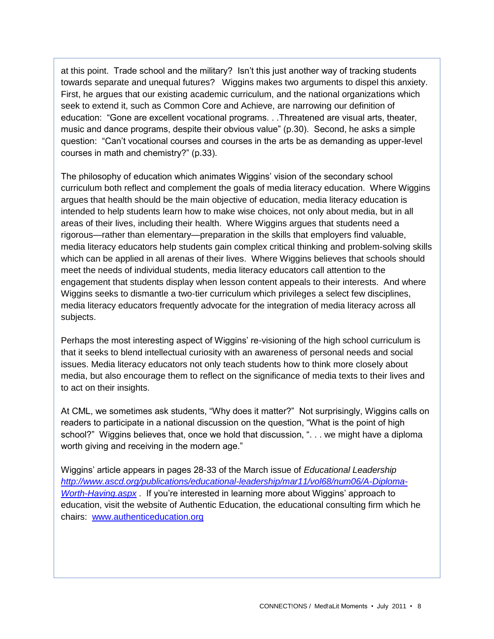at this point. Trade school and the military? Isn"t this just another way of tracking students towards separate and unequal futures? Wiggins makes two arguments to dispel this anxiety. First, he argues that our existing academic curriculum, and the national organizations which seek to extend it, such as Common Core and Achieve, are narrowing our definition of education: "Gone are excellent vocational programs. . .Threatened are visual arts, theater, music and dance programs, despite their obvious value" (p.30). Second, he asks a simple question: "Can"t vocational courses and courses in the arts be as demanding as upper-level courses in math and chemistry?" (p.33).

The philosophy of education which animates Wiggins" vision of the secondary school curriculum both reflect and complement the goals of media literacy education. Where Wiggins argues that health should be the main objective of education, media literacy education is intended to help students learn how to make wise choices, not only about media, but in all areas of their lives, including their health. Where Wiggins argues that students need a rigorous—rather than elementary—preparation in the skills that employers find valuable, media literacy educators help students gain complex critical thinking and problem-solving skills which can be applied in all arenas of their lives. Where Wiggins believes that schools should meet the needs of individual students, media literacy educators call attention to the engagement that students display when lesson content appeals to their interests. And where Wiggins seeks to dismantle a two-tier curriculum which privileges a select few disciplines, media literacy educators frequently advocate for the integration of media literacy across all subjects.

Perhaps the most interesting aspect of Wiggins" re-visioning of the high school curriculum is that it seeks to blend intellectual curiosity with an awareness of personal needs and social issues. Media literacy educators not only teach students how to think more closely about media, but also encourage them to reflect on the significance of media texts to their lives and to act on their insights.

At CML, we sometimes ask students, "Why does it matter?" Not surprisingly, Wiggins calls on readers to participate in a national discussion on the question, "What is the point of high school?" Wiggins believes that, once we hold that discussion, ". . . we might have a diploma worth giving and receiving in the modern age."

Wiggins" article appears in pages 28-33 of the March issue of *Educational Leadership [http://www.ascd.org/publications/educational-leadership/mar11/vol68/num06/A-Diploma-](http://www.ascd.org/publications/educational-leadership/mar11/vol68/num06/A-Diploma-Worth-Having.aspx)[Worth-Having.aspx](http://www.ascd.org/publications/educational-leadership/mar11/vol68/num06/A-Diploma-Worth-Having.aspx)* . If you"re interested in learning more about Wiggins" approach to education, visit the website of Authentic Education, the educational consulting firm which he chairs: [www.authenticeducation.org](http://www.authenticeducation.org/)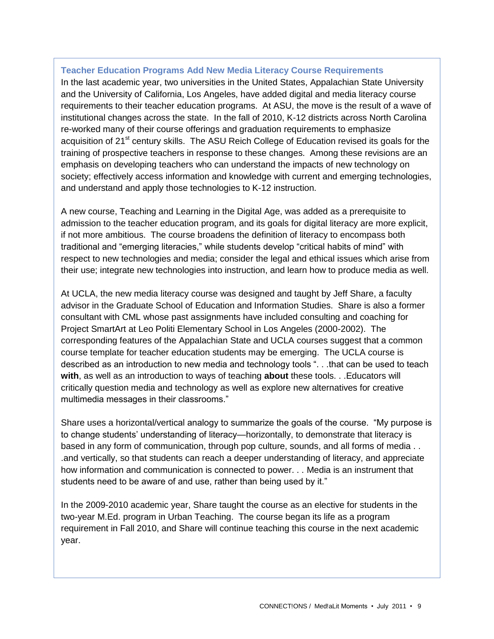#### **Teacher Education Programs Add New Media Literacy Course Requirements**

In the last academic year, two universities in the United States, Appalachian State University and the University of California, Los Angeles, have added digital and media literacy course requirements to their teacher education programs. At ASU, the move is the result of a wave of institutional changes across the state. In the fall of 2010, K-12 districts across North Carolina re-worked many of their course offerings and graduation requirements to emphasize acquisition of 21<sup>st</sup> century skills. The ASU Reich College of Education revised its goals for the training of prospective teachers in response to these changes. Among these revisions are an emphasis on developing teachers who can understand the impacts of new technology on society; effectively access information and knowledge with current and emerging technologies, and understand and apply those technologies to K-12 instruction.

A new course, Teaching and Learning in the Digital Age, was added as a prerequisite to admission to the teacher education program, and its goals for digital literacy are more explicit, if not more ambitious. The course broadens the definition of literacy to encompass both traditional and "emerging literacies," while students develop "critical habits of mind" with respect to new technologies and media; consider the legal and ethical issues which arise from their use; integrate new technologies into instruction, and learn how to produce media as well.

At UCLA, the new media literacy course was designed and taught by Jeff Share, a faculty advisor in the Graduate School of Education and Information Studies. Share is also a former consultant with CML whose past assignments have included consulting and coaching for Project SmartArt at Leo Politi Elementary School in Los Angeles (2000-2002). The corresponding features of the Appalachian State and UCLA courses suggest that a common course template for teacher education students may be emerging. The UCLA course is described as an introduction to new media and technology tools ". . .that can be used to teach **with**, as well as an introduction to ways of teaching **about** these tools. . .Educators will critically question media and technology as well as explore new alternatives for creative multimedia messages in their classrooms."

Share uses a horizontal/vertical analogy to summarize the goals of the course. "My purpose is to change students' understanding of literacy—horizontally, to demonstrate that literacy is based in any form of communication, through pop culture, sounds, and all forms of media . . .and vertically, so that students can reach a deeper understanding of literacy, and appreciate how information and communication is connected to power. . . Media is an instrument that students need to be aware of and use, rather than being used by it."

In the 2009-2010 academic year, Share taught the course as an elective for students in the two-year M.Ed. program in Urban Teaching. The course began its life as a program requirement in Fall 2010, and Share will continue teaching this course in the next academic year.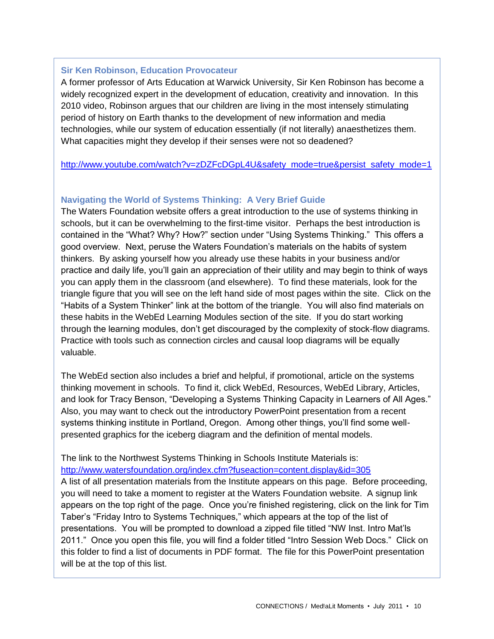#### **Sir Ken Robinson, Education Provocateur**

A former professor of Arts Education at Warwick University, Sir Ken Robinson has become a widely recognized expert in the development of education, creativity and innovation. In this 2010 video, Robinson argues that our children are living in the most intensely stimulating period of history on Earth thanks to the development of new information and media technologies, while our system of education essentially (if not literally) anaesthetizes them. What capacities might they develop if their senses were not so deadened?

[http://www.youtube.com/watch?v=zDZFcDGpL4U&safety\\_mode=true&persist\\_safety\\_mode=1](http://www.youtube.com/watch?v=zDZFcDGpL4U&safety_mode=true&persist_safety_mode=1)

#### **Navigating the World of Systems Thinking: A Very Brief Guide**

The Waters Foundation website offers a great introduction to the use of systems thinking in schools, but it can be overwhelming to the first-time visitor. Perhaps the best introduction is contained in the "What? Why? How?" section under "Using Systems Thinking." This offers a good overview. Next, peruse the Waters Foundation"s materials on the habits of system thinkers. By asking yourself how you already use these habits in your business and/or practice and daily life, you"ll gain an appreciation of their utility and may begin to think of ways you can apply them in the classroom (and elsewhere). To find these materials, look for the triangle figure that you will see on the left hand side of most pages within the site. Click on the "Habits of a System Thinker" link at the bottom of the triangle. You will also find materials on these habits in the WebEd Learning Modules section of the site. If you do start working through the learning modules, don"t get discouraged by the complexity of stock-flow diagrams. Practice with tools such as connection circles and causal loop diagrams will be equally valuable.

The WebEd section also includes a brief and helpful, if promotional, article on the systems thinking movement in schools. To find it, click WebEd, Resources, WebEd Library, Articles, and look for Tracy Benson, "Developing a Systems Thinking Capacity in Learners of All Ages." Also, you may want to check out the introductory PowerPoint presentation from a recent systems thinking institute in Portland, Oregon. Among other things, you"ll find some wellpresented graphics for the iceberg diagram and the definition of mental models.

The link to the Northwest Systems Thinking in Schools Institute Materials is:

<http://www.watersfoundation.org/index.cfm?fuseaction=content.display&id=305>

A list of all presentation materials from the Institute appears on this page. Before proceeding, you will need to take a moment to register at the Waters Foundation website. A signup link appears on the top right of the page. Once you"re finished registering, click on the link for Tim Taber"s "Friday Intro to Systems Techniques," which appears at the top of the list of presentations. You will be prompted to download a zipped file titled "NW Inst. Intro Mat"ls 2011." Once you open this file, you will find a folder titled "Intro Session Web Docs." Click on this folder to find a list of documents in PDF format. The file for this PowerPoint presentation will be at the top of this list.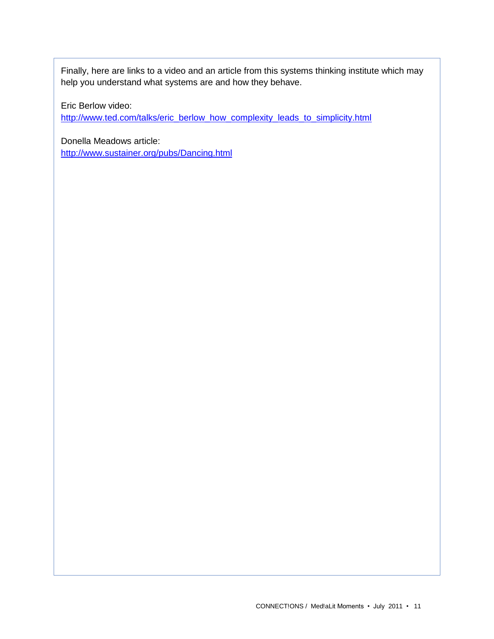Finally, here are links to a video and an article from this systems thinking institute which may help you understand what systems are and how they behave.

Eric Berlow video:

[http://www.ted.com/talks/eric\\_berlow\\_how\\_complexity\\_leads\\_to\\_simplicity.html](http://www.ted.com/talks/eric_berlow_how_complexity_leads_to_simplicity.html)

Donella Meadows article: <http://www.sustainer.org/pubs/Dancing.html>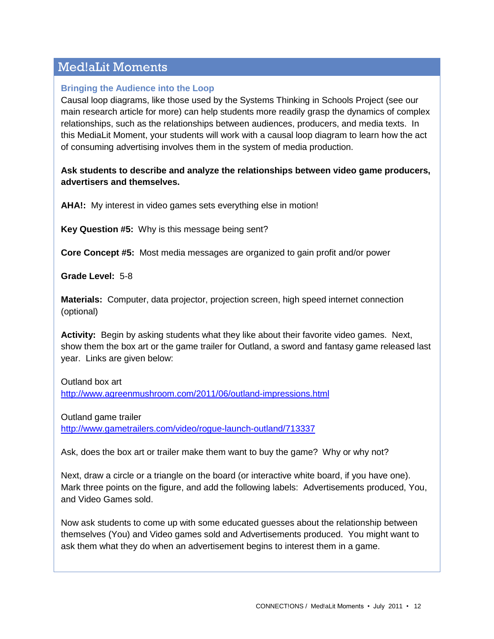## Med!aLit Moments

### **Bringing the Audience into the Loop**

Causal loop diagrams, like those used by the Systems Thinking in Schools Project (see our main research article for more) can help students more readily grasp the dynamics of complex relationships, such as the relationships between audiences, producers, and media texts. In this MediaLit Moment, your students will work with a causal loop diagram to learn how the act of consuming advertising involves them in the system of media production.

### **Ask students to describe and analyze the relationships between video game producers, advertisers and themselves.**

**AHA!:** My interest in video games sets everything else in motion!

**Key Question #5:** Why is this message being sent?

**Core Concept #5:** Most media messages are organized to gain profit and/or power

**Grade Level:** 5-8

**Materials:** Computer, data projector, projection screen, high speed internet connection (optional)

**Activity:** Begin by asking students what they like about their favorite video games. Next, show them the box art or the game trailer for Outland, a sword and fantasy game released last year. Links are given below:

Outland box art

<http://www.agreenmushroom.com/2011/06/outland-impressions.html>

Outland game trailer

<http://www.gametrailers.com/video/rogue-launch-outland/713337>

Ask, does the box art or trailer make them want to buy the game? Why or why not?

Next, draw a circle or a triangle on the board (or interactive white board, if you have one). Mark three points on the figure, and add the following labels: Advertisements produced, You, and Video Games sold.

Now ask students to come up with some educated guesses about the relationship between themselves (You) and Video games sold and Advertisements produced. You might want to ask them what they do when an advertisement begins to interest them in a game.